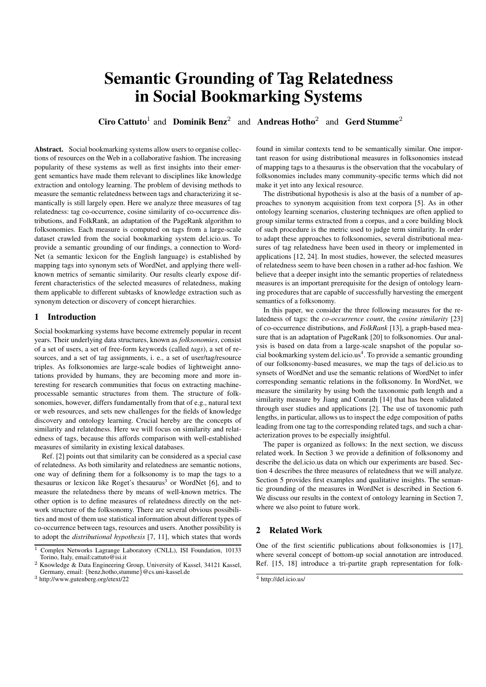# Semantic Grounding of Tag Relatedness in Social Bookmarking Systems

Ciro Cattuto<sup>1</sup> and Dominik Benz<sup>2</sup> and Andreas Hotho<sup>2</sup> and Gerd Stumme<sup>2</sup>

Abstract. Social bookmarking systems allow users to organise collections of resources on the Web in a collaborative fashion. The increasing popularity of these systems as well as first insights into their emergent semantics have made them relevant to disciplines like knowledge extraction and ontology learning. The problem of devising methods to measure the semantic relatedness between tags and characterizing it semantically is still largely open. Here we analyze three measures of tag relatedness: tag co-occurrence, cosine similarity of co-occurrence distributions, and FolkRank, an adaptation of the PageRank algorithm to folksonomies. Each measure is computed on tags from a large-scale dataset crawled from the social bookmarking system del.icio.us. To provide a semantic grounding of our findings, a connection to Word-Net (a semantic lexicon for the English language) is established by mapping tags into synonym sets of WordNet, and applying there wellknown metrics of semantic similarity. Our results clearly expose different characteristics of the selected measures of relatedness, making them applicable to different subtasks of knowledge extraction such as synonym detection or discovery of concept hierarchies.

## 1 Introduction

Social bookmarking systems have become extremely popular in recent years. Their underlying data structures, known as *folksonomies*, consist of a set of users, a set of free-form keywords (called *tags*), a set of resources, and a set of tag assignments, i. e., a set of user/tag/resource triples. As folksonomies are large-scale bodies of lightweight annotations provided by humans, they are becoming more and more interesting for research communities that focus on extracting machineprocessable semantic structures from them. The structure of folksonomies, however, differs fundamentally from that of e.g., natural text or web resources, and sets new challenges for the fields of knowledge discovery and ontology learning. Crucial hereby are the concepts of similarity and relatedness. Here we will focus on similarity and relatedness of tags, because this affords comparison with well-established measures of similarity in existing lexical databases.

Ref. [2] points out that similarity can be considered as a special case of relatedness. As both similarity and relatedness are semantic notions, one way of defining them for a folksonomy is to map the tags to a thesaurus or lexicon like Roget's thesaurus<sup>3</sup> or WordNet [6], and to measure the relatedness there by means of well-known metrics. The other option is to define measures of relatedness directly on the network structure of the folksonomy. There are several obvious possibilities and most of them use statistical information about different types of co-occurrence between tags, resources and users. Another possibility is to adopt the *distributional hypothesis* [7, 11], which states that words found in similar contexts tend to be semantically similar. One important reason for using distributional measures in folksonomies instead of mapping tags to a thesaurus is the observation that the vocabulary of folksonomies includes many community-specific terms which did not make it yet into any lexical resource.

The distributional hypothesis is also at the basis of a number of approaches to synonym acquisition from text corpora [5]. As in other ontology learning scenarios, clustering techniques are often applied to group similar terms extracted from a corpus, and a core building block of such procedure is the metric used to judge term similarity. In order to adapt these approaches to folksonomies, several distributional measures of tag relatedness have been used in theory or implemented in applications [12, 24]. In most studies, however, the selected measures of relatedness seem to have been chosen in a rather ad-hoc fashion. We believe that a deeper insight into the semantic properties of relatedness measures is an important prerequisite for the design of ontology learning procedures that are capable of successfully harvesting the emergent semantics of a folksonomy.

In this paper, we consider the three following measures for the relatedness of tags: the *co-occurrence count*, the *cosine similarity* [23] of co-occurrence distributions, and *FolkRank* [13], a graph-based measure that is an adaptation of PageRank [20] to folksonomies. Our analysis is based on data from a large-scale snapshot of the popular social bookmarking system del.icio.us<sup>4</sup>. To provide a semantic grounding of our folksonomy-based measures, we map the tags of del.icio.us to synsets of WordNet and use the semantic relations of WordNet to infer corresponding semantic relations in the folksonomy. In WordNet, we measure the similarity by using both the taxonomic path length and a similarity measure by Jiang and Conrath [14] that has been validated through user studies and applications [2]. The use of taxonomic path lengths, in particular, allows us to inspect the edge composition of paths leading from one tag to the corresponding related tags, and such a characterization proves to be especially insightful.

The paper is organized as follows: In the next section, we discuss related work. In Section 3 we provide a definition of folksonomy and describe the del.icio.us data on which our experiments are based. Section 4 describes the three measures of relatedness that we will analyze. Section 5 provides first examples and qualitative insights. The semantic grounding of the measures in WordNet is described in Section 6. We discuss our results in the context of ontology learning in Section 7, where we also point to future work.

#### 2 Related Work

One of the first scientific publications about folksonomies is [17], where several concept of bottom-up social annotation are introduced. Ref. [15, 18] introduce a tri-partite graph representation for folk-

<sup>&</sup>lt;sup>1</sup> Complex Networks Lagrange Laboratory (CNLL), ISI Foundation, 10133 Torino, Italy, email:cattuto@isi.it

<sup>2</sup> Knowledge & Data Engineering Group, University of Kassel, 34121 Kassel, Germany, email: {benz,hotho,stumme}@cs.uni-kassel.de

<sup>3</sup> http://www.gutenberg.org/etext/22

<sup>4</sup> http://del.icio.us/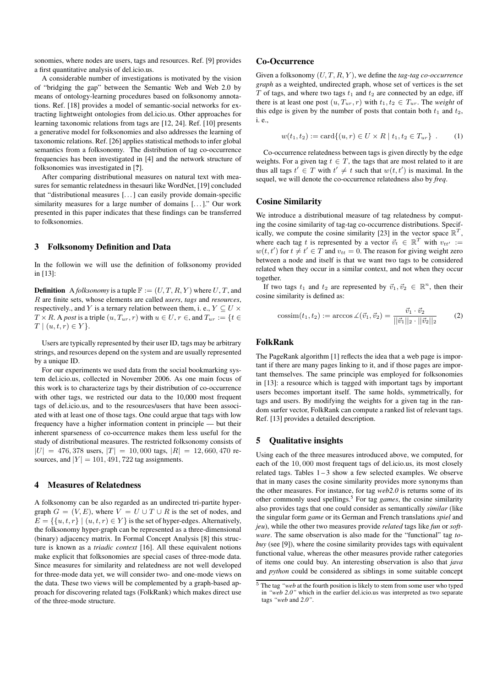sonomies, where nodes are users, tags and resources. Ref. [9] provides a first quantitative analysis of del.icio.us.

A considerable number of investigations is motivated by the vision of "bridging the gap" between the Semantic Web and Web 2.0 by means of ontology-learning procedures based on folksonomy annotations. Ref. [18] provides a model of semantic-social networks for extracting lightweight ontologies from del.icio.us. Other approaches for learning taxonomic relations from tags are [12, 24]. Ref. [10] presents a generative model for folksonomies and also addresses the learning of taxonomic relations. Ref. [26] applies statistical methods to infer global semantics from a folksonomy. The distribution of tag co-occurrence frequencies has been investigated in [4] and the network structure of folksonomies was investigated in [?].

After comparing distributional measures on natural text with measures for semantic relatedness in thesauri like WordNet, [19] concluded that "distributional measures [. . . ] can easily provide domain-specific similarity measures for a large number of domains [...]." Our work presented in this paper indicates that these findings can be transferred to folksonomies.

## 3 Folksonomy Definition and Data

In the followin we will use the definition of folksonomy provided in [13]:

**Definition** A *folksonomy* is a tuple  $\mathbb{F} := (U, T, R, Y)$  where  $U, T$ , and R are finite sets, whose elements are called *users*, *tags* and *resources*, respectively., and Y is a ternary relation between them, i. e.,  $Y \subseteq U \times$  $T \times R$ . A *post* is a triple  $(u, T_{ur}, r)$  with  $u \in U, r \in A$  and  $T_{ur} := \{t \in$  $T \mid (u, t, r) \in Y$ .

Users are typically represented by their user ID, tags may be arbitrary strings, and resources depend on the system and are usually represented by a unique ID.

For our experiments we used data from the social bookmarking system del.icio.us, collected in November 2006. As one main focus of this work is to characterize tags by their distribution of co-occurrence with other tags, we restricted our data to the 10,000 most frequent tags of del.icio.us, and to the resources/users that have been associated with at least one of those tags. One could argue that tags with low frequency have a higher information content in principle — but their inherent sparseness of co-occurrence makes them less useful for the study of distributional measures. The restricted folksonomy consists of  $|U| = 476,378$  users,  $|T| = 10,000$  tags,  $|R| = 12,660,470$  resources, and  $|Y| = 101, 491, 722$  tag assignments.

## 4 Measures of Relatedness

A folksonomy can be also regarded as an undirected tri-partite hypergraph  $G = (V, E)$ , where  $V = U \cup T \cup R$  is the set of nodes, and  $E = \{ \{u, t, r\} \mid (u, t, r) \in Y \}$  is the set of hyper-edges. Alternatively, the folksonomy hyper-graph can be represented as a three-dimensional (binary) adjacency matrix. In Formal Concept Analysis [8] this structure is known as a *triadic context* [16]. All these equivalent notions make explicit that folksonomies are special cases of three-mode data. Since measures for similarity and relatedness are not well developed for three-mode data yet, we will consider two- and one-mode views on the data. These two views will be complemented by a graph-based approach for discovering related tags (FolkRank) which makes direct use of the three-mode structure.

#### Co-Occurrence

Given a folksonomy (U, T, R, Y ), we define the *tag-tag co-occurrence graph* as a weighted, undirected graph, whose set of vertices is the set  $T$  of tags, and where two tags  $t_1$  and  $t_2$  are connected by an edge, iff there is at least one post  $(u, T_{ur}, r)$  with  $t_1, t_2 \in T_{ur}$ . The *weight* of this edge is given by the number of posts that contain both  $t_1$  and  $t_2$ , i. e.,

$$
w(t_1, t_2) := \text{card}\{(u, r) \in U \times R \mid t_1, t_2 \in T_{ur}\} \tag{1}
$$

Co-occurrence relatedness between tags is given directly by the edge weights. For a given tag  $t \in T$ , the tags that are most related to it are thus all tags  $t' \in T$  with  $t' \neq t$  such that  $w(t, t')$  is maximal. In the sequel, we will denote the co-occurrence relatedness also by *freq*.

## Cosine Similarity

We introduce a distributional measure of tag relatedness by computing the cosine similarity of tag-tag co-occurrence distributions. Specifically, we compute the cosine similarity [23] in the vector space  $\mathbb{R}^T$ , where each tag t is represented by a vector  $\vec{v}_t \in \mathbb{R}^T$  with  $v_{tt'} :=$  $w(t, t')$  for  $t \neq t' \in T$  and  $v_{tt} = 0$ . The reason for giving weight zero between a node and itself is that we want two tags to be considered related when they occur in a similar context, and not when they occur together.

If two tags  $t_1$  and  $t_2$  are represented by  $\vec{v}_1, \vec{v}_2 \in \mathbb{R}^n$ , then their cosine similarity is defined as:

$$
\text{cossim}(t_1, t_2) := \arccos \angle(\vec{v}_1, \vec{v}_2) = \frac{\vec{v}_1 \cdot \vec{v}_2}{||\vec{v}_1||_2 \cdot ||\vec{v}_2||_2} \tag{2}
$$

## FolkRank

The PageRank algorithm [1] reflects the idea that a web page is important if there are many pages linking to it, and if those pages are important themselves. The same principle was employed for folksonomies in [13]: a resource which is tagged with important tags by important users becomes important itself. The same holds, symmetrically, for tags and users. By modifying the weights for a given tag in the random surfer vector, FolkRank can compute a ranked list of relevant tags. Ref. [13] provides a detailed description.

#### 5 Qualitative insights

Using each of the three measures introduced above, we computed, for each of the 10, 000 most frequent tags of del.icio.us, its most closely related tags. Tables  $1-3$  show a few selected examples. We observe that in many cases the cosine similarity provides more synonyms than the other measures. For instance, for tag *web2.0* is returns some of its other commonly used spellings.<sup>5</sup> For tag *games*, the cosine similarity also provides tags that one could consider as semantically *similar* (like the singular form *game* or its German and French translations *spiel* and *jeu*), while the other two measures provide *related* tags like *fun* or *software*. The same observation is also made for the "functional" tag *tobuy* (see [9]), where the cosine similarity provides tags with equivalent functional value, whereas the other measures provide rather categories of items one could buy. An interesting observation is also that *java* and *python* could be considered as siblings in some suitable concept

<sup>5</sup> The tag *"web* at the fourth position is likely to stem from some user who typed in *"web 2.0"* which in the earlier del.icio.us was interpreted as two separate tags *"web* and *2.0"*.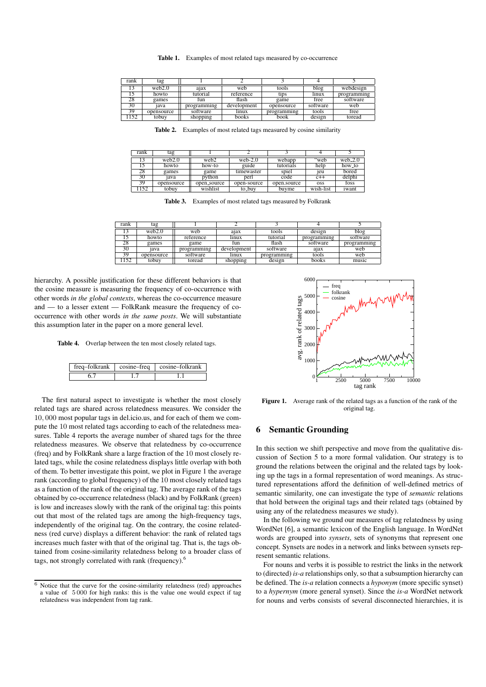| rank | tag        |             |             |             |          |             |
|------|------------|-------------|-------------|-------------|----------|-------------|
|      | web2.0     | aiax        | web         | tools       | blog     | webdesign   |
|      | howto      | tutorial    | reference   | tids        | linux    | programming |
| 28.  | games      | tun         | flash       | game        | free     | software    |
| 30   | iava       | programming | development | opensource  | software | web         |
|      | opensource | software    | linux       | programming | tools    | free        |
| 152  | tobuv      | shopping    | books       | book        | design   | toread      |

Table 1. Examples of most related tags measured by co-occurrence

Table 2. Examples of most related tags measured by cosine similarity

| rank | tag        |             |             |             |            |            |
|------|------------|-------------|-------------|-------------|------------|------------|
|      | web2.0     | web2        | web- $2.0$  | webapp      | web:       | web $-2.0$ |
|      | howto      | how-to      | guide       | tutorials   | help       | how_to     |
| 28   | games      | game        | timewaster  | spiel       | 1eu        | bored      |
| 30   | 1ava       | python      | perl        | code        | $c++$      | delphi     |
| 39   | opensource | open_source | open-source | open.source | <b>OSS</b> | foss       |
| 152  | tobuy      | wishlist    | to_buv      | buvme       | wish-list  | iwant      |

Table 3. Examples of most related tags measured by Folkrank

| rank | tag        |             |             |             |             |             |
|------|------------|-------------|-------------|-------------|-------------|-------------|
|      | web2.0     | web         | ajax        | tools       | design      | blog        |
|      | howto      | reference   | lınux       | tutorial    | programming | software    |
| 28   | games      | game        | tun         | flash       | software    | programming |
| 30   | iava       | programming | development | software    | ajax        | web         |
| 39   | opensource | software    | linux       | programming | tools       | web         |
| 152  | tobuv      | toread      | shopping    | design      | books       | music       |

hierarchy. A possible justification for these different behaviors is that the cosine measure is measuring the frequency of co-occurrence with other words *in the global contexts*, whereas the co-occurrence measure and — to a lesser extent — FolkRank measure the frequency of cooccurrence with other words *in the same posts*. We will substantiate this assumption later in the paper on a more general level.

Table 4. Overlap between the ten most closely related tags.

| $freq$ -folkrank | cosine–freq | cosine–folkrank |
|------------------|-------------|-----------------|
|                  |             |                 |

The first natural aspect to investigate is whether the most closely related tags are shared across relatedness measures. We consider the 10, 000 most popular tags in del.icio.us, and for each of them we compute the 10 most related tags according to each of the relatedness measures. Table 4 reports the average number of shared tags for the three relatedness measures. We observe that relatedness by co-occurrence (freq) and by FolkRank share a large fraction of the 10 most closely related tags, while the cosine relatedness displays little overlap with both of them. To better investigate this point, we plot in Figure 1 the average rank (according to global frequency) of the 10 most closely related tags as a function of the rank of the original tag. The average rank of the tags obtained by co-occurrence relatedness (black) and by FolkRank (green) is low and increases slowly with the rank of the original tag: this points out that most of the related tags are among the high-frequency tags, independently of the original tag. On the contrary, the cosine relatedness (red curve) displays a different behavior: the rank of related tags increases much faster with that of the original tag. That is, the tags obtained from cosine-similarity relatedness belong to a broader class of tags, not strongly correlated with rank (frequency).<sup>6</sup>



Figure 1. Average rank of the related tags as a function of the rank of the original tag.

### 6 Semantic Grounding

In this section we shift perspective and move from the qualitative discussion of Section 5 to a more formal validation. Our strategy is to ground the relations between the original and the related tags by looking up the tags in a formal representation of word meanings. As structured representations afford the definition of well-defined metrics of semantic similarity, one can investigate the type of *semantic* relations that hold between the original tags and their related tags (obtained by using any of the relatedness measures we study).

In the following we ground our measures of tag relatedness by using WordNet [6], a semantic lexicon of the English language. In WordNet words are grouped into *synsets*, sets of synonyms that represent one concept. Synsets are nodes in a network and links between synsets represent semantic relations.

For nouns and verbs it is possible to restrict the links in the network to (directed) *is-a* relationships only, so that a subsumption hierarchy can be defined. The *is-a* relation connects a *hyponym* (more specific synset) to a *hypernym* (more general synset). Since the *is-a* WordNet network for nouns and verbs consists of several disconnected hierarchies, it is

 $6$  Notice that the curve for the cosine-similarity relatedness (red) approaches a value of 5 000 for high ranks: this is the value one would expect if tag relatedness was independent from tag rank.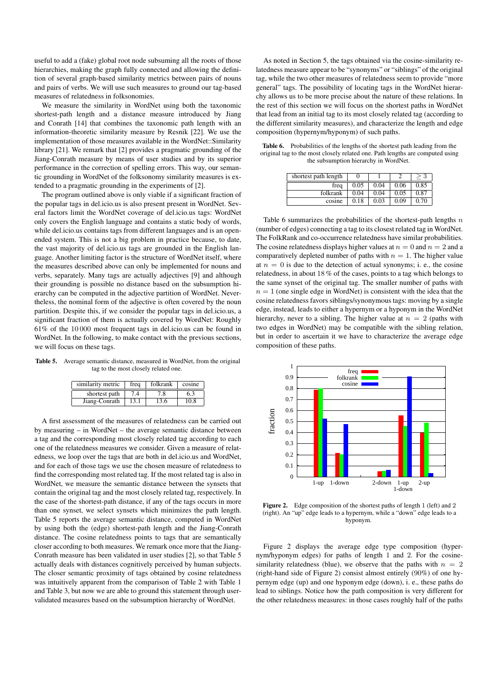useful to add a (fake) global root node subsuming all the roots of those hierarchies, making the graph fully connected and allowing the definition of several graph-based similarity metrics between pairs of nouns and pairs of verbs. We will use such measures to ground our tag-based measures of relatedness in folksonomies.

We measure the similarity in WordNet using both the taxonomic shortest-path length and a distance measure introduced by Jiang and Conrath [14] that combines the taxonomic path length with an information-theoretic similarity measure by Resnik [22]. We use the implementation of those measures available in the WordNet::Similarity library [21]. We remark that [2] provides a pragmatic grounding of the Jiang-Conrath measure by means of user studies and by its superior performance in the correction of spelling errors. This way, our semantic grounding in WordNet of the folksonomy similarity measures is extended to a pragmatic grounding in the experiments of [2].

The program outlined above is only viable if a significant fraction of the popular tags in del.icio.us is also present present in WordNet. Several factors limit the WordNet coverage of del.icio.us tags: WordNet only covers the English language and contains a static body of words, while del.icio.us contains tags from different languages and is an openended system. This is not a big problem in practice because, to date, the vast majority of del.icio.us tags are grounded in the English language. Another limiting factor is the structure of WordNet itself, where the measures described above can only be implemented for nouns and verbs, separately. Many tags are actually adjectives [9] and although their grounding is possible no distance based on the subsumption hierarchy can be computed in the adjective partition of WordNet. Nevertheless, the nominal form of the adjective is often covered by the noun partition. Despite this, if we consider the popular tags in del.icio.us, a significant fraction of them is actually covered by WordNet: Roughly 61% of the 10 000 most frequent tags in del.icio.us can be found in WordNet. In the following, to make contact with the previous sections, we will focus on these tags.

Table 5. Average semantic distance, measured in WordNet, from the original tag to the most closely related one.

| similarity metric | frea | folkrank | cosine |  |
|-------------------|------|----------|--------|--|
| shortest path     | 7.4  | 7.8      | 6.3    |  |
| Jiang-Conrath     | 13.1 | 13.6     | 10.8   |  |

A first assessment of the measures of relatedness can be carried out by measuring – in WordNet – the average semantic distance between a tag and the corresponding most closely related tag according to each one of the relatedness measures we consider. Given a measure of relatedness, we loop over the tags that are both in del.icio.us and WordNet, and for each of those tags we use the chosen measure of relatedness to find the corresponding most related tag. If the most related tag is also in WordNet, we measure the semantic distance between the synsets that contain the original tag and the most closely related tag, respectively. In the case of the shortest-path distance, if any of the tags occurs in more than one synset, we select synsets which minimizes the path length. Table 5 reports the average semantic distance, computed in WordNet by using both the (edge) shortest-path length and the Jiang-Conrath distance. The cosine relatedness points to tags that are semantically closer according to both measures. We remark once more that the Jiang-Conrath measure has been validated in user studies [2], so that Table 5 actually deals with distances cognitively perceived by human subjects. The closer semantic proximity of tags obtained by cosine relatedness was intuitively apparent from the comparison of Table 2 with Table 1 and Table 3, but now we are able to ground this statement through uservalidated measures based on the subsumption hierarchy of WordNet.

As noted in Section 5, the tags obtained via the cosine-similarity relatedness measure appear to be "synonyms" or "siblings" of the original tag, while the two other measures of relatedness seem to provide "more general" tags. The possibility of locating tags in the WordNet hierarchy allows us to be more precise about the nature of these relations. In the rest of this section we will focus on the shortest paths in WordNet that lead from an initial tag to its most closely related tag (according to the different similarity measures), and characterize the length and edge composition (hypernym/hyponym) of such paths.

Table 6. Probabilities of the lengths of the shortest path leading from the original tag to the most closely related one. Path lengths are computed using the subsumption hierarchy in WordNet.

| shortest path length |      |      |      |      |
|----------------------|------|------|------|------|
| frea                 | 0.05 | 0.04 | 0.06 | 0.85 |
| folkrank             | 0.04 | 0.04 | 0.05 | 0.87 |
| cosine               | 0.18 | 0.03 | 0.09 | 0.70 |

Table 6 summarizes the probabilities of the shortest-path lengths  $n$ (number of edges) connecting a tag to its closest related tag in WordNet. The FolkRank and co-occurrence relatedness have similar probabilities. The cosine relatedness displays higher values at  $n = 0$  and  $n = 2$  and a comparatively depleted number of paths with  $n = 1$ . The higher value at  $n = 0$  is due to the detection of actual synonyms; i. e., the cosine relatedness, in about 18 % of the cases, points to a tag which belongs to the same synset of the original tag. The smaller number of paths with  $n = 1$  (one single edge in WordNet) is consistent with the idea that the cosine relatedness favors siblings/synonymous tags: moving by a single edge, instead, leads to either a hypernym or a hyponym in the WordNet hierarchy, never to a sibling. The higher value at  $n = 2$  (paths with two edges in WordNet) may be compatible with the sibling relation, but in order to ascertain it we have to characterize the average edge composition of these paths.



Figure 2. Edge composition of the shortest paths of length 1 (left) and 2 (right). An "up" edge leads to a hypernym, while a "down" edge leads to a hyponym.

Figure 2 displays the average edge type composition (hypernym/hyponym edges) for paths of length 1 and 2. For the cosinesimilarity relatedness (blue), we observe that the paths with  $n = 2$ (right-hand side of Figure 2) consist almost entirely (90%) of one hypernym edge (up) and one hyponym edge (down), i. e., these paths do lead to siblings. Notice how the path composition is very different for the other relatedness measures: in those cases roughly half of the paths